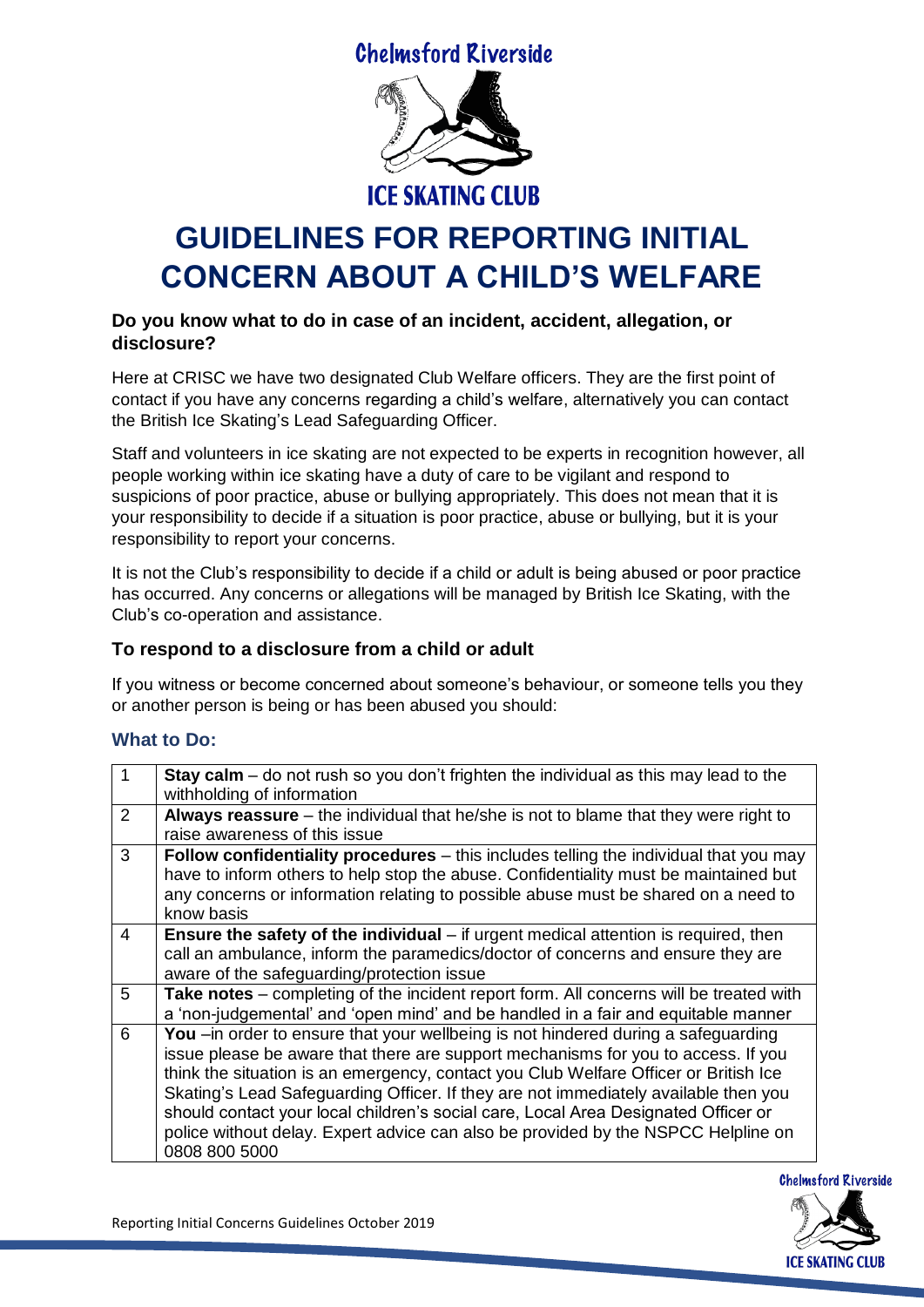**Chelmsford Riverside** 



# **GUIDELINES FOR REPORTING INITIAL CONCERN ABOUT A CHILD'S WELFARE**

#### **Do you know what to do in case of an incident, accident, allegation, or disclosure?**

Here at CRISC we have two designated Club Welfare officers. They are the first point of contact if you have any concerns regarding a child's welfare, alternatively you can contact the British Ice Skating's Lead Safeguarding Officer.

Staff and volunteers in ice skating are not expected to be experts in recognition however, all people working within ice skating have a duty of care to be vigilant and respond to suspicions of poor practice, abuse or bullying appropriately. This does not mean that it is your responsibility to decide if a situation is poor practice, abuse or bullying, but it is your responsibility to report your concerns.

It is not the Club's responsibility to decide if a child or adult is being abused or poor practice has occurred. Any concerns or allegations will be managed by British Ice Skating, with the Club's co-operation and assistance.

### **To respond to a disclosure from a child or adult**

If you witness or become concerned about someone's behaviour, or someone tells you they or another person is being or has been abused you should:

# **What to Do:**

| $\mathbf 1$ | <b>Stay calm</b> – do not rush so you don't frighten the individual as this may lead to the<br>withholding of information                                                                                                                                                                                                                                                                                                                                                                                                                         |
|-------------|---------------------------------------------------------------------------------------------------------------------------------------------------------------------------------------------------------------------------------------------------------------------------------------------------------------------------------------------------------------------------------------------------------------------------------------------------------------------------------------------------------------------------------------------------|
| 2           | Always reassure - the individual that he/she is not to blame that they were right to<br>raise awareness of this issue                                                                                                                                                                                                                                                                                                                                                                                                                             |
| 3           | Follow confidentiality procedures - this includes telling the individual that you may<br>have to inform others to help stop the abuse. Confidentiality must be maintained but<br>any concerns or information relating to possible abuse must be shared on a need to<br>know basis                                                                                                                                                                                                                                                                 |
| 4           | Ensure the safety of the individual - if urgent medical attention is required, then<br>call an ambulance, inform the paramedics/doctor of concerns and ensure they are<br>aware of the safeguarding/protection issue                                                                                                                                                                                                                                                                                                                              |
| 5           | Take notes - completing of the incident report form. All concerns will be treated with<br>a 'non-judgemental' and 'open mind' and be handled in a fair and equitable manner                                                                                                                                                                                                                                                                                                                                                                       |
| 6           | You -in order to ensure that your wellbeing is not hindered during a safeguarding<br>issue please be aware that there are support mechanisms for you to access. If you<br>think the situation is an emergency, contact you Club Welfare Officer or British Ice<br>Skating's Lead Safeguarding Officer. If they are not immediately available then you<br>should contact your local children's social care, Local Area Designated Officer or<br>police without delay. Expert advice can also be provided by the NSPCC Helpline on<br>0808 800 5000 |



Reporting Initial Concerns Guidelines October 2019